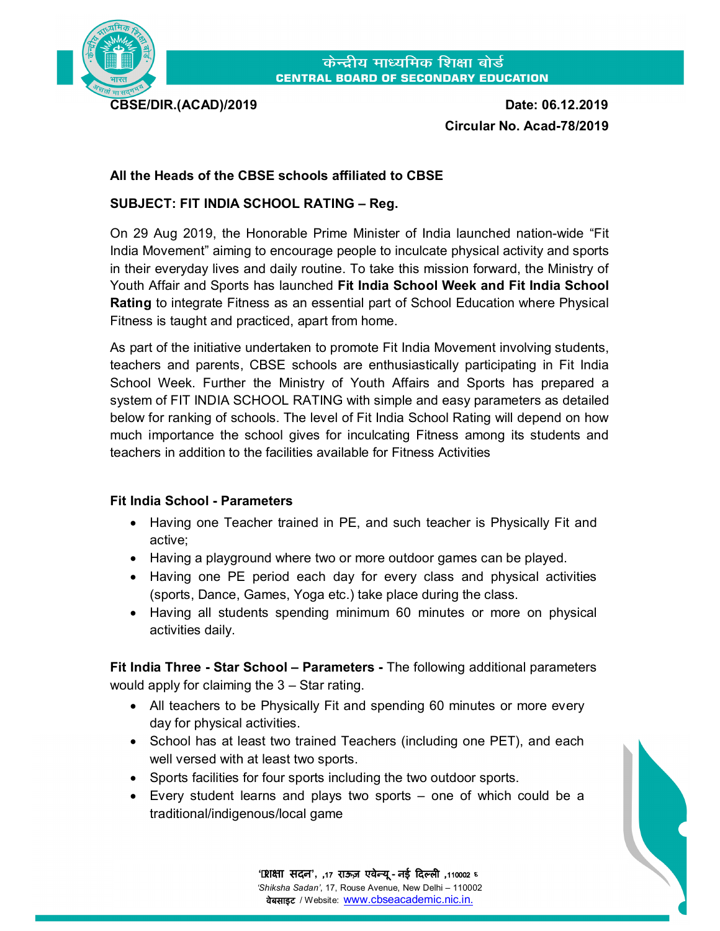

**CBSE/DIR.(ACAD)/2019 Date: 06.12.2019 Circular No. Acad-78/2019** 

## **All the Heads of the CBSE schools affiliated to CBSE**

## **SUBJECT: FIT INDIA SCHOOL RATING – Reg.**

On 29 Aug 2019, the Honorable Prime Minister of India launched nation-wide "Fit India Movement" aiming to encourage people to inculcate physical activity and sports in their everyday lives and daily routine. To take this mission forward, the Ministry of Youth Affair and Sports has launched **Fit India School Week and Fit India School Rating** to integrate Fitness as an essential part of School Education where Physical Fitness is taught and practiced, apart from home.

As part of the initiative undertaken to promote Fit India Movement involving students, teachers and parents, CBSE schools are enthusiastically participating in Fit India School Week. Further the Ministry of Youth Affairs and Sports has prepared a system of FIT INDIA SCHOOL RATING with simple and easy parameters as detailed below for ranking of schools. The level of Fit India School Rating will depend on how much importance the school gives for inculcating Fitness among its students and teachers in addition to the facilities available for Fitness Activities

## **Fit India School - Parameters**

- Having one Teacher trained in PE, and such teacher is Physically Fit and active;
- Having a playground where two or more outdoor games can be played.
- Having one PE period each day for every class and physical activities (sports, Dance, Games, Yoga etc.) take place during the class.
- Having all students spending minimum 60 minutes or more on physical activities daily.

**Fit India Three - Star School – Parameters -** The following additional parameters would apply for claiming the 3 – Star rating.

- All teachers to be Physically Fit and spending 60 minutes or more every day for physical activities.
- School has at least two trained Teachers (including one PET), and each well versed with at least two sports.
- Sports facilities for four sports including the two outdoor sports.
- Every student learns and plays two sports one of which could be a traditional/indigenous/local game

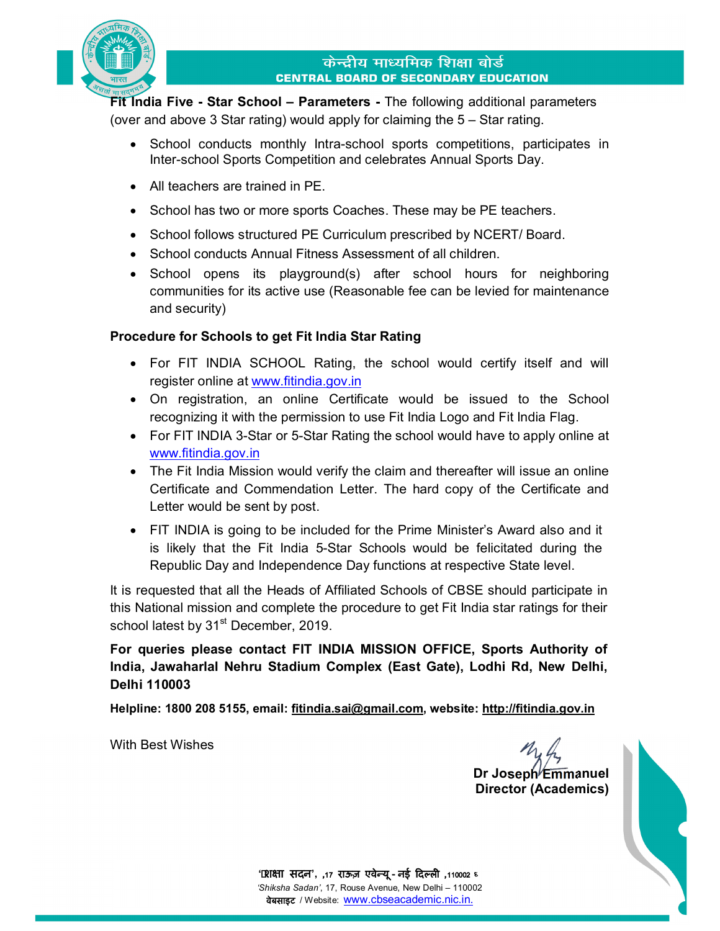

**Fit India Five - Star School – Parameters -** The following additional parameters (over and above 3 Star rating) would apply for claiming the 5 – Star rating.

- School conducts monthly Intra-school sports competitions, participates in Inter-school Sports Competition and celebrates Annual Sports Day.
- All teachers are trained in PE.
- School has two or more sports Coaches. These may be PE teachers.
- School follows structured PE Curriculum prescribed by NCERT/ Board.
- School conducts Annual Fitness Assessment of all children.
- School opens its playground(s) after school hours for neighboring communities for its active use (Reasonable fee can be levied for maintenance and security)

## **Procedure for Schools to get Fit India Star Rating**

- For FIT INDIA SCHOOL Rating, the school would certify itself and will register online at www.fitindia.gov.in
- On registration, an online Certificate would be issued to the School recognizing it with the permission to use Fit India Logo and Fit India Flag.
- For FIT INDIA 3-Star or 5-Star Rating the school would have to apply online at www.fitindia.gov.in
- The Fit India Mission would verify the claim and thereafter will issue an online Certificate and Commendation Letter. The hard copy of the Certificate and Letter would be sent by post.
- FIT INDIA is going to be included for the Prime Minister's Award also and it is likely that the Fit India 5-Star Schools would be felicitated during the Republic Day and Independence Day functions at respective State level.

It is requested that all the Heads of Affiliated Schools of CBSE should participate in this National mission and complete the procedure to get Fit India star ratings for their school latest by 31<sup>st</sup> December, 2019.

**For queries please contact FIT INDIA MISSION OFFICE, Sports Authority of India, Jawaharlal Nehru Stadium Complex (East Gate), Lodhi Rd, New Delhi, Delhi 110003**

**Helpline: 1800 208 5155, email: fi[tindia.sai@gmail.com,](mailto:tindia.sai@gmail.com,) website:<http://>fitindia.gov.in**

With Best Wishes

**Dr Joseph Emmanuel Director (Academics)**